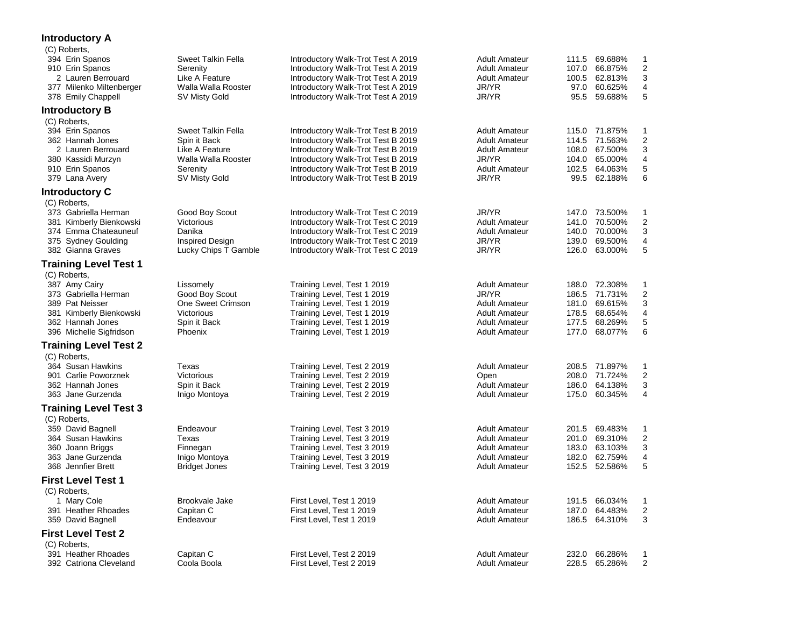## **Introductory A**

| (C) Roberts,                                   |                                      |                                                                          |                               |       |                          |                              |
|------------------------------------------------|--------------------------------------|--------------------------------------------------------------------------|-------------------------------|-------|--------------------------|------------------------------|
| 394 Erin Spanos                                | Sweet Talkin Fella                   | Introductory Walk-Trot Test A 2019                                       | <b>Adult Amateur</b>          |       | 111.5 69.688%            | 1                            |
| 910 Erin Spanos                                | Serenity                             | Introductory Walk-Trot Test A 2019                                       | <b>Adult Amateur</b>          | 107.0 | 66.875%                  | $\boldsymbol{2}$             |
| 2 Lauren Berrouard                             | Like A Feature                       | Introductory Walk-Trot Test A 2019                                       | <b>Adult Amateur</b><br>JR/YR |       | 100.5 62.813%<br>60.625% | 3<br>$\overline{\mathbf{4}}$ |
| 377 Milenko Miltenberger<br>378 Emily Chappell | Walla Walla Rooster<br>SV Misty Gold | Introductory Walk-Trot Test A 2019<br>Introductory Walk-Trot Test A 2019 | JR/YR                         | 97.0  | 95.5 59.688%             | 5                            |
|                                                |                                      |                                                                          |                               |       |                          |                              |
| <b>Introductory B</b><br>(C) Roberts,          |                                      |                                                                          |                               |       |                          |                              |
| 394 Erin Spanos                                | <b>Sweet Talkin Fella</b>            | Introductory Walk-Trot Test B 2019                                       | <b>Adult Amateur</b>          |       | 115.0 71.875%            | 1                            |
| 362 Hannah Jones                               | Spin it Back                         | Introductory Walk-Trot Test B 2019                                       | <b>Adult Amateur</b>          |       | 114.5 71.563%            | $\boldsymbol{2}$             |
| 2 Lauren Berrouard                             | Like A Feature                       | Introductory Walk-Trot Test B 2019                                       | <b>Adult Amateur</b>          | 108.0 | 67.500%                  | 3                            |
| 380 Kassidi Murzyn                             | Walla Walla Rooster                  | Introductory Walk-Trot Test B 2019                                       | JR/YR                         | 104.0 | 65.000%                  | 4                            |
| 910 Erin Spanos                                | Serenity                             | Introductory Walk-Trot Test B 2019                                       | <b>Adult Amateur</b>          | 102.5 | 64.063%                  | 5                            |
| 379 Lana Avery                                 | SV Misty Gold                        | Introductory Walk-Trot Test B 2019                                       | JR/YR                         | 99.5  | 62.188%                  | 6                            |
| <b>Introductory C</b>                          |                                      |                                                                          |                               |       |                          |                              |
| (C) Roberts,                                   |                                      |                                                                          |                               |       |                          |                              |
| 373 Gabriella Herman                           | Good Boy Scout                       | Introductory Walk-Trot Test C 2019                                       | JR/YR                         |       | 147.0 73.500%            | 1                            |
| 381 Kimberly Bienkowski                        | Victorious                           | Introductory Walk-Trot Test C 2019                                       | <b>Adult Amateur</b>          | 141.0 | 70.500%                  | $\boldsymbol{2}$             |
| 374 Emma Chateauneuf                           | Danika                               | Introductory Walk-Trot Test C 2019                                       | <b>Adult Amateur</b>          | 140.0 | 70.000%                  | 3                            |
| 375 Sydney Goulding                            | <b>Inspired Design</b>               | Introductory Walk-Trot Test C 2019                                       | JR/YR                         | 139.0 | 69.500%                  | 4                            |
| 382 Gianna Graves                              | Lucky Chips T Gamble                 | Introductory Walk-Trot Test C 2019                                       | JR/YR                         |       | 126.0 63.000%            | 5                            |
| <b>Training Level Test 1</b>                   |                                      |                                                                          |                               |       |                          |                              |
| (C) Roberts,<br>387 Amy Cairy                  |                                      |                                                                          | <b>Adult Amateur</b>          |       | 188.0 72.308%            | $\mathbf{1}$                 |
| 373 Gabriella Herman                           | Lissomely<br>Good Boy Scout          | Training Level, Test 1 2019<br>Training Level, Test 1 2019               | JR/YR                         |       | 186.5 71.731%            | $\overline{\mathbf{c}}$      |
| 389 Pat Neisser                                | One Sweet Crimson                    | Training Level, Test 1 2019                                              | <b>Adult Amateur</b>          | 181.0 | 69.615%                  | 3                            |
| 381 Kimberly Bienkowski                        | Victorious                           | Training Level, Test 1 2019                                              | <b>Adult Amateur</b>          | 178.5 | 68.654%                  | 4                            |
| 362 Hannah Jones                               | Spin it Back                         | Training Level, Test 1 2019                                              | <b>Adult Amateur</b>          | 177.5 | 68.269%                  | 5                            |
| 396 Michelle Sigfridson                        | Phoenix                              | Training Level, Test 1 2019                                              | <b>Adult Amateur</b>          | 177.0 | 68.077%                  | 6                            |
| <b>Training Level Test 2</b>                   |                                      |                                                                          |                               |       |                          |                              |
| (C) Roberts,                                   |                                      |                                                                          |                               |       |                          |                              |
| 364 Susan Hawkins                              | Texas                                | Training Level, Test 2 2019                                              | <b>Adult Amateur</b>          |       | 208.5 71.897%            | $\mathbf{1}$                 |
| 901 Carlie Poworznek                           | Victorious                           | Training Level, Test 2 2019                                              | Open                          |       | 208.0 71.724%            | $\overline{2}$               |
| 362 Hannah Jones                               | Spin it Back                         | Training Level, Test 2 2019                                              | <b>Adult Amateur</b>          | 186.0 | 64.138%                  | 3                            |
| 363 Jane Gurzenda                              | Inigo Montoya                        | Training Level, Test 2 2019                                              | <b>Adult Amateur</b>          | 175.0 | 60.345%                  | $\overline{4}$               |
| <b>Training Level Test 3</b>                   |                                      |                                                                          |                               |       |                          |                              |
| (C) Roberts,                                   |                                      |                                                                          |                               |       |                          |                              |
| 359 David Bagnell                              | Endeavour                            | Training Level, Test 3 2019                                              | <b>Adult Amateur</b>          | 201.5 | 69.483%                  | $\mathbf{1}$                 |
| 364 Susan Hawkins                              | Texas                                | Training Level, Test 3 2019                                              | <b>Adult Amateur</b>          | 201.0 | 69.310%                  | $\boldsymbol{2}$             |
| 360 Joann Briggs                               | Finnegan                             | Training Level, Test 3 2019                                              | <b>Adult Amateur</b>          | 183.0 | 63.103%                  | 3                            |
| 363 Jane Gurzenda                              | Inigo Montoya                        | Training Level, Test 3 2019                                              | <b>Adult Amateur</b>          | 182.0 | 62.759%                  | 4<br>5                       |
| 368 Jennfier Brett                             | <b>Bridget Jones</b>                 | Training Level, Test 3 2019                                              | <b>Adult Amateur</b>          |       | 152.5 52.586%            |                              |
| <b>First Level Test 1</b>                      |                                      |                                                                          |                               |       |                          |                              |
| (C) Roberts,                                   |                                      |                                                                          |                               |       |                          |                              |
| 1 Mary Cole                                    | Brookvale Jake                       | First Level, Test 1 2019                                                 | <b>Adult Amateur</b>          |       | 191.5 66.034%            | 1                            |
| 391 Heather Rhoades                            | Capitan C                            | First Level, Test 1 2019                                                 | <b>Adult Amateur</b>          | 187.0 | 64.483%                  | $\mathbf 2$<br>3             |
| 359 David Bagnell                              | Endeavour                            | First Level, Test 1 2019                                                 | <b>Adult Amateur</b>          | 186.5 | 64.310%                  |                              |
| <b>First Level Test 2</b><br>(C) Roberts,      |                                      |                                                                          |                               |       |                          |                              |
| 391 Heather Rhoades                            | Capitan C                            | First Level, Test 2 2019                                                 | <b>Adult Amateur</b>          |       | 232.0 66.286%            | 1                            |
| 392 Catriona Cleveland                         | Coola Boola                          | First Level, Test 2 2019                                                 | <b>Adult Amateur</b>          |       | 228.5 65.286%            | $\overline{2}$               |
|                                                |                                      |                                                                          |                               |       |                          |                              |